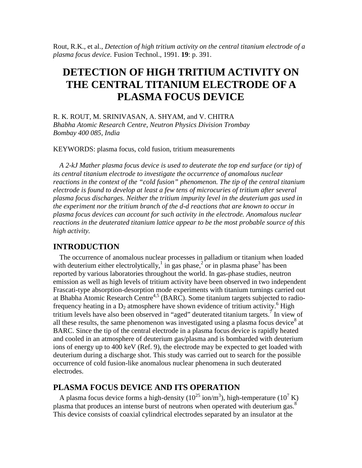Rout, R.K., et al., *Detection of high tritium activity on the central titanium electrode of a plasma focus device.* Fusion Technol., 1991. **19**: p. 391.

# **DETECTION OF HIGH TRITIUM ACTIVITY ON THE CENTRAL TITANIUM ELECTRODE OF A PLASMA FOCUS DEVICE**

R. K. ROUT, M. SRINIVASAN, A. SHYAM, and V. CHITRA *Bhabha Atomic Research Centre, Neutron Physics Division Trombay Bombay 400 085, India*

KEYWORDS: plasma focus, cold fusion, tritium measurements

*A 2-kJ Mather plasma focus device is used to deuterate the top end surface (or tip) of its central titanium electrode to investigate the occurrence of anomalous nuclear reactions in the context of the "cold fusion" phenomenon. The tip of the central titanium electrode is found to develop at least a few tens of microcuries of tritium after several plasma focus discharges. Neither the tritium impurity level in the deuterium gas used in the experiment nor the tritium branch of the d-d reactions that are known to occur in plasma focus devices can account for such activity in the electrode. Anomalous nuclear reactions in the deuterated titanium lattice appear to be the most probable source of this high activity.*

# **INTRODUCTION**

The occurrence of anomalous nuclear processes in palladium or titanium when loaded with deuterium either electrolytically,<sup>1</sup> in gas phase,<sup>2</sup> or in plasma phase<sup>3</sup> has been reported by various laboratories throughout the world. In gas-phase studies, neutron emission as well as high levels of tritium activity have been observed in two independent Frascati-type absorption-desorption mode experiments with titanium turnings carried out at Bhabha Atomic Research Centre<sup>4,5</sup> (BARC). Some titanium targets subjected to radiofrequency heating in a  $D_2$  atmosphere have shown evidence of tritium activity.<sup>6</sup> High tritium levels have also been observed in "aged" deuterated titanium targets.<sup>7</sup> In view of all these results, the same phenomenon was investigated using a plasma focus device<sup>8</sup> at BARC. Since the tip of the central electrode in a plasma focus device is rapidly heated and cooled in an atmosphere of deuterium gas/plasma and is bombarded with deuterium ions of energy up to 400 keV (Ref. 9), the electrode may be expected to get loaded with deuterium during a discharge shot. This study was carried out to search for the possible occurrence of cold fusion-like anomalous nuclear phenomena in such deuterated electrodes.

# **PLASMA FOCUS DEVICE AND ITS OPERATION**

A plasma focus device forms a high-density ( $10^{25}$  ion/m<sup>3</sup>), high-temperature ( $10^{7}$  K) plasma that produces an intense burst of neutrons when operated with deuterium gas.<sup>8</sup> This device consists of coaxial cylindrical electrodes separated by an insulator at the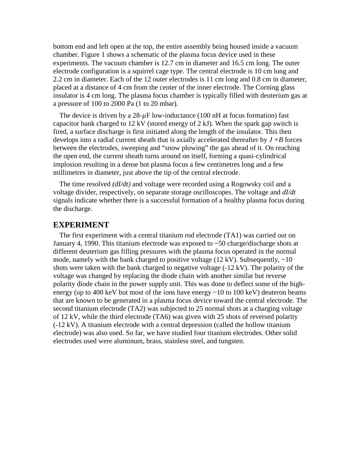bottom end and left open at the top, the entire assembly being housed inside a vacuum chamber. Figure 1 shows a schematic of the plasma focus device used in these experiments. The vacuum chamber is 12.7 cm in diameter and 16.5 cm long. The outer electrode configuration is a squirrel cage type. The central electrode is 10 cm long and 2.2 cm in diameter. Each of the 12 outer electrodes is 11 cm long and 0.8 cm in diameter, placed at a distance of 4 cm from the center of the inner electrode. The Corning glass insulator is 4 cm long. The plasma focus chamber is typically filled with deuterium gas at a pressure of 100 to 2000 Pa (1 to 20 mbar).

The device is driven by a 28-*µ*F low-inductance (100 nH at focus formation) fast capacitor bank charged to 12 kV (stored energy of 2 kJ). When the spark gap switch is fired, a surface discharge is first initiated along the length of the insulator. This then develops into a radial current sheath that is axially accelerated thereafter by  $J \times B$  forces between the electrodes, sweeping and "snow plowing" the gas ahead of it. On reaching the open end, the current sheath turns around on itself, forming a quasi-cylindrical implosion resulting in a dense hot plasma focus a few centimetres long and a few millimetres in diameter, just above the tip of the central electrode.

The time resolved *(dI/dt)* and voltage were recorded using a Rogowsky coil and a voltage divider, respectively, on separate storage oscilloscopes. The voltage and *dI/dt* signals indicate whether there is a successful formation of a healthy plasma focus during the discharge.

#### **EXPERIMENT**

The first experiment with a central titanium rod electrode (TA1) was carried out on January 4, 1990. This titanium electrode was exposed to ~50 charge/discharge shots at different deuterium gas filling pressures with the plasma focus operated in the normal mode, namely with the bank charged to positive voltage  $(12 \text{ kV})$ . Subsequently,  $\sim 10$ shots were taken with the bank charged to negative voltage (-12 kV). The polarity of the voltage was changed by replacing the diode chain with another similar but reverse polarity diode chain in the power supply unit. This was done to deflect some of the highenergy (up to 400 keV but most of the ions have energy ~10 to 100 keV) deuteron beams that are known to be generated in a plasma focus device toward the central electrode. The second titanium electrode (TA2) was subjected to 25 normal shots at a charging voltage of 12 kV, while the third electrode (TA6) was given with 25 shots of reversed polarity (-12 kV). A titanium electrode with a central depression (called the hollow titanium electrode) was also used. So far, we have studied four titanium electrodes. Other solid electrodes used were aluminum, brass, stainless steel, and tungsten.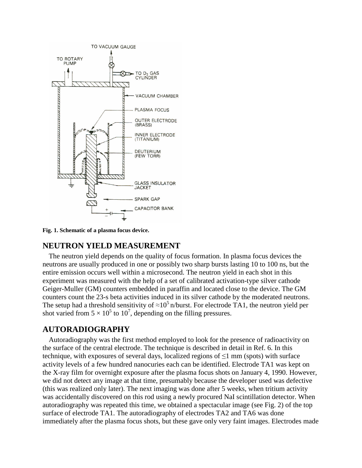

**Fig. 1. Schematic of a plasma focus device.**

#### **NEUTRON YIELD MEASUREMENT**

The neutron yield depends on the quality of focus formation. In plasma focus devices the neutrons are usually produced in one or possibly two sharp bursts lasting 10 to 100 ns, but the entire emission occurs well within a microsecond. The neutron yield in each shot in this experiment was measured with the help of a set of calibrated activation-type silver cathode Geiger-Muller (GM) counters embedded in paraffin and located close to the device. The GM counters count the 23-s beta activities induced in its silver cathode by the moderated neutrons. The setup had a threshold sensitivity of  $\approx 10^5$  n/burst. For electrode TA1, the neutron yield per shot varied from  $5 \times 10^5$  to  $10^7$ , depending on the filling pressures.

### **AUTORADIOGRAPHY**

Autoradiography was the first method employed to look for the presence of radioactivity on the surface of the central electrode. The technique is described in detail in Ref. 6. In this technique, with exposures of several days, localized regions of  $\leq 1$  mm (spots) with surface activity levels of a few hundred nanocuries each can be identified. Electrode TA1 was kept on the X-ray film for overnight exposure after the plasma focus shots on January 4, 1990. However, we did not detect any image at that time, presumably because the developer used was defective (this was realized only later). The next imaging was done after 5 weeks, when tritium activity was accidentally discovered on this rod using a newly procured NaI scintillation detector. When autoradiography was repeated this time, we obtained a spectacular image (see Fig. 2) of the top surface of electrode TA1. The autoradiography of electrodes TA2 and TA6 was done immediately after the plasma focus shots, but these gave only very faint images. Electrodes made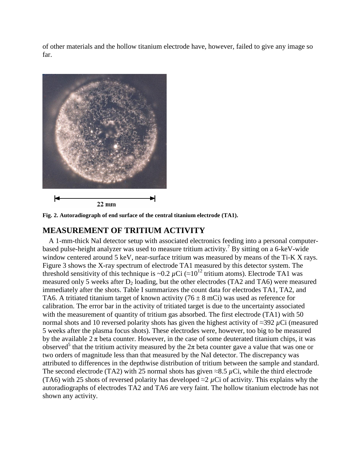of other materials and the hollow titanium electrode have, however, failed to give any image so far.



**Fig. 2. Autoradiograph of end surface of the central titanium electrode (TA1).**

# **MEASUREMENT OF TRITIUM ACTIVITY**

A 1-mm-thick NaI detector setup with associated electronics feeding into a personal computerbased pulse-height analyzer was used to measure tritium activity.<sup>7</sup> By sitting on a 6-keV-wide window centered around 5 keV, near-surface tritium was measured by means of the Ti-K X rays. Figure 3 shows the X-ray spectrum of electrode TA1 measured by this detector system. The threshold sensitivity of this technique is ~0.2  $\mu$ Ci (≈10<sup>12</sup> tritium atoms). Electrode TA1 was measured only 5 weeks after  $D_2$  loading, but the other electrodes (TA2 and TA6) were measured immediately after the shots. Table I summarizes the count data for electrodes TA1, TA2, and TA6. A tritiated titanium target of known activity (76  $\pm$  8 mCi) was used as reference for calibration. The error bar in the activity of tritiated target is due to the uncertainty associated with the measurement of quantity of tritium gas absorbed. The first electrode (TA1) with 50 normal shots and 10 reversed polarity shots has given the highest activity of ≈392 *µ*Ci (measured 5 weeks after the plasma focus shots). These electrodes were, however, too big to be measured by the available  $2 \pi$  beta counter. However, in the case of some deuterated titanium chips, it was observed<sup>5</sup> that the tritium activity measured by the  $2\pi$  beta counter gave a value that was one or two orders of magnitude less than that measured by the NaI detector. The discrepancy was attributed to differences in the depthwise distribution of tritium between the sample and standard. The second electrode (TA2) with 25 normal shots has given  $\approx 8.5 \mu$ Ci, while the third electrode (TA6) with 25 shots of reversed polarity has developed  $\approx$ 2  $\mu$ Ci of activity. This explains why the autoradiographs of electrodes TA2 and TA6 are very faint. The hollow titanium electrode has not shown any activity.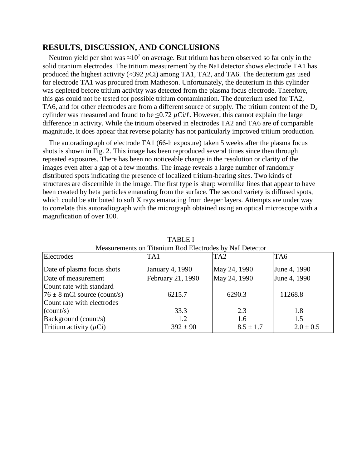# **RESULTS, DISCUSSION, AND CONCLUSIONS**

Neutron yield per shot was  $\approx$ 10<sup>7</sup> on average. But tritium has been observed so far only in the solid titanium electrodes. The tritium measurement by the NaI detector shows electrode TA1 has produced the highest activity ( $\approx$ 392  $\mu$ Ci) among TA1, TA2, and TA6. The deuterium gas used for electrode TA1 was procured from Matheson. Unfortunately, the deuterium in this cylinder was depleted before tritium activity was detected from the plasma focus electrode. Therefore, this gas could not be tested for possible tritium contamination. The deuterium used for TA2, TA6, and for other electrodes are from a different source of supply. The tritium content of the  $D_2$ cylinder was measured and found to be  $\leq 0.72 \mu \text{Ci}/\ell$ . However, this cannot explain the large difference in activity. While the tritium observed in electrodes TA2 and TA6 are of comparable magnitude, it does appear that reverse polarity has not particularly improved tritium production.

The autoradiograph of electrode TA1 (66-h exposure) taken 5 weeks after the plasma focus shots is shown in Fig. 2. This image has been reproduced several times since then through repeated exposures. There has been no noticeable change in the resolution or clarity of the images even after a gap of a few months. The image reveals a large number of randomly distributed spots indicating the presence of localized tritium-bearing sites. Two kinds of structures are discernible in the image. The first type is sharp wormlike lines that appear to have been created by beta particles emanating from the surface. The second variety is diffused spots, which could be attributed to soft X rays emanating from deeper layers. Attempts are under way to correlate this autoradiograph with the micrograph obtained using an optical microscope with a magnification of over 100.

| Measurements on Thainum Rou Electrones by Ival Detector |                   |                 |               |
|---------------------------------------------------------|-------------------|-----------------|---------------|
| Electrodes                                              | TA1               | TA <sub>2</sub> | TA6           |
| Date of plasma focus shots                              | January 4, 1990   | May 24, 1990    | June 4, 1990  |
| Date of measurement                                     | February 21, 1990 | May 24, 1990    | June 4, 1990  |
| Count rate with standard                                |                   |                 |               |
| $76 \pm 8$ mCi source (count/s)                         | 6215.7            | 6290.3          | 11268.8       |
| Count rate with electrodes                              |                   |                 |               |
| $\text{(count/s)}$                                      | 33.3              | 2.3             | 1.8           |
| Background (count/s)                                    | 1.2               | 1.6             | 1.5           |
| Tritium activity $(\mu Ci)$                             | $392 \pm 90$      | $8.5 \pm 1.7$   | $2.0 \pm 0.5$ |

TABLE I Measurements on Titanium Rod Electrodes by NaI Detector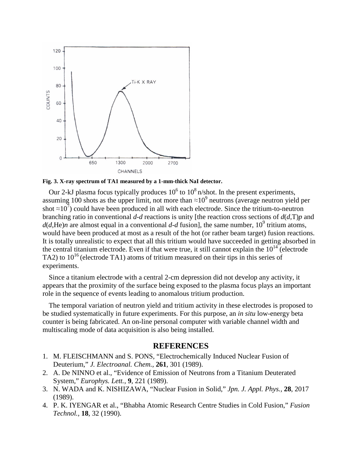

**Fig. 3. X-ray spectrum of TA1 measured by a 1-mm-thick NaI detector.**

Our 2-kJ plasma focus typically produces  $10^6$  to  $10^8$  n/shot. In the present experiments, assuming 100 shots as the upper limit, not more than  $\approx 10^9$  neutrons (average neutron yield per shot  $\approx 10^7$ ) could have been produced in all with each electrode. Since the tritium-to-neutron branching ratio in conventional *d-d* reactions is unity [the reaction cross sections of *d*(*d*,T)*p* and  $d(d, \text{He})n$  are almost equal in a conventional  $d$ - $d$  fusion], the same number, 10<sup>9</sup> tritium atoms, would have been produced at most as a result of the hot (or rather beam target) fusion reactions. It is totally unrealistic to expect that all this tritium would have succeeded in getting absorbed in the central titanium electrode. Even if that were true, it still cannot explain the  $10^{14}$  (electrode TA2) to  $10^{16}$  (electrode TA1) atoms of tritium measured on their tips in this series of experiments.

Since a titanium electrode with a central 2-cm depression did not develop any activity, it appears that the proximity of the surface being exposed to the plasma focus plays an important role in the sequence of events leading to anomalous tritium production.

The temporal variation of neutron yield and tritium activity in these electrodes is proposed to be studied systematically in future experiments. For this purpose, an *in situ* low-energy beta counter is being fabricated. An on-line personal computer with variable channel width and multiscaling mode of data acquisition is also being installed.

#### **REFERENCES**

- 1. M. FLEISCHMANN and S. PONS, "Electrochemically Induced Nuclear Fusion of Deuterium," *J. Electroanal. Chem.*, **261**, 301 (1989).
- 2. A. De NINNO et al., "Evidence of Emission of Neutrons from a Titanium Deuterated System," *Europhys. Lett.*, **9**, 221 (1989).
- 3. N. WADA and K. NISHIZAWA, "Nuclear Fusion in Solid," *Jpn. J. Appl. Phys.,* **28**, 2017 (1989).
- 4. P. K. IYENGAR et al., "Bhabha Atomic Research Centre Studies in Cold Fusion," *Fusion Technol.,* **18**, 32 (1990).